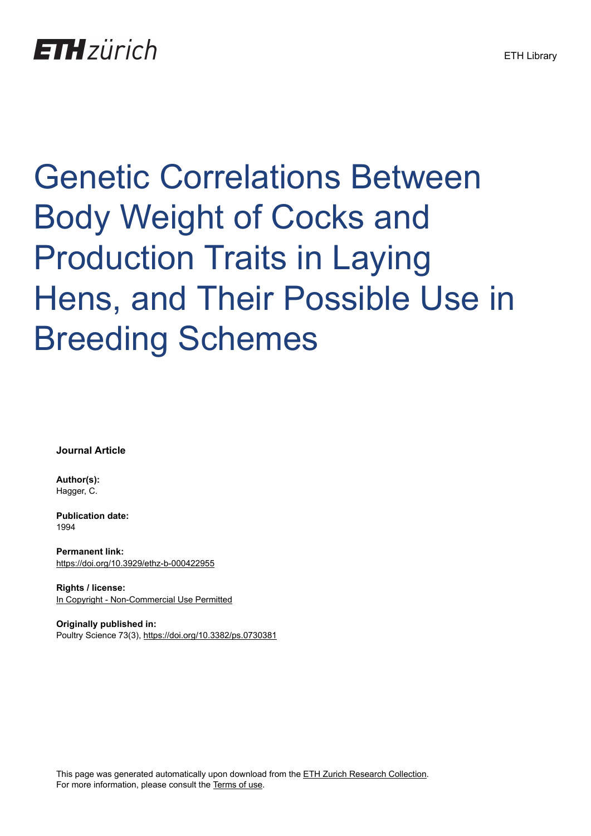# Genetic Correlations Between Body Weight of Cocks and Production Traits in Laying Hens, and Their Possible Use in Breeding Schemes

**Journal Article**

**Author(s):** Hagger, C.

**Publication date:** 1994

**Permanent link:** <https://doi.org/10.3929/ethz-b-000422955>

**Rights / license:** [In Copyright - Non-Commercial Use Permitted](http://rightsstatements.org/page/InC-NC/1.0/)

**Originally published in:** Poultry Science 73(3), <https://doi.org/10.3382/ps.0730381>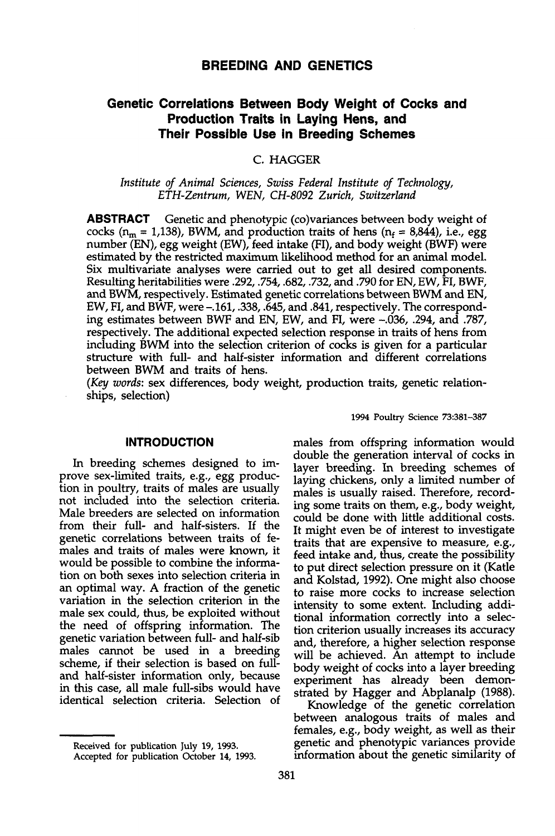## **Genetic Correlations Between Body Weight of Cocks and Production Traits in Laying Hens, and Their Possible Use in Breeding Schemes**

C. HAGGER

*Institute of Animal Sciences, Swiss Federal Institute of Technology, ETH-Zentrum, WEN, CH-8092 Zurich, Switzerland* 

**ABSTRACT** Genetic and phenotypic (co)variances between body weight of cocks ( $n_m = 1,138$ ), BWM, and production traits of hens ( $n_f = 8,844$ ), i.e., egg number (EN), egg weight (EW), feed intake (FI), and body weight (BWF) were estimated by the restricted maximum likelihood method for an animal model. Six multivariate analyses were carried out to get all desired components. Resulting heritabilities were .292, .754, .682, .732, and .790 for EN, EW, FI, BWF, and BWM, respectively. Estimated genetic correlations between BWM and EN, EW, FI, and BWF, were -.161, .338, .645, and .841, respectively. The corresponding estimates between BWF and EN, EW, and FI, were -.036, .294, and .787, respectively. The additional expected selection response in traits of hens from including BWM into the selection criterion of cocks is given for a particular structure with full- and half-sister information and different correlations between BWM and traits of hens.

*(Key words:* sex differences, body weight, production traits, genetic relationships, selection)

1994 Poultry Science 73:381-387

#### **INTRODUCTION**

In breeding schemes designed to improve sex-limited traits, e.g., egg production in poultry, traits of males are usually not included into the selection criteria. Male breeders are selected on information from their full- and half-sisters. If the genetic correlations between traits of females and traits of males were known, it would be possible to combine the information on both sexes into selection criteria in an optimal way. A fraction of the genetic variation in the selection criterion in the male sex could, thus, be exploited without the need of offspring information. The genetic variation between full- and half-sib males cannot be used in a breeding scheme, if their selection is based on fulland half-sister information only, because in this case, all male full-sibs would have identical selection criteria. Selection of

Received for publication July 19, 1993.

Accepted for publication October 14, 1993.

males from offspring information would double the generation interval of cocks in layer breeding. In breeding schemes of laying chickens, only a limited number of males is usually raised. Therefore, recording some traits on them, e.g., body weight, could be done with little additional costs. It might even be of interest to investigate traits that are expensive to measure, e.g., feed intake and, thus, create the possibility to put direct selection pressure on it (Katie and Kolstad, 1992). One might also choose to raise more cocks to increase selection intensity to some extent. Including additional information correctly into a selection criterion usually increases its accuracy and, therefore, a higher selection response will be achieved. An attempt to include body weight of cocks into a layer breeding experiment has already been demonstrated by Hagger and Abplanalp (1988).

Knowledge of the genetic correlation between analogous traits of males and females, e.g., body weight, as well as their genetic and phenotypic variances provide information about the genetic similarity of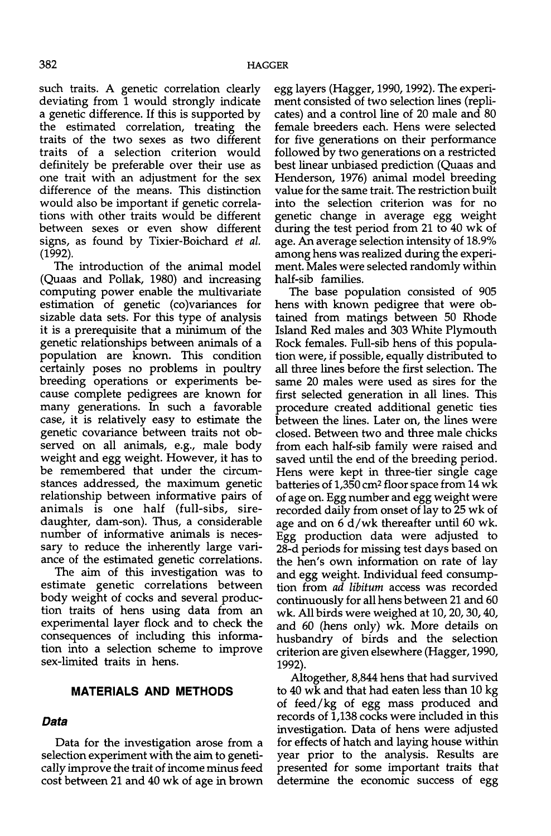such traits. A genetic correlation clearly deviating from 1 would strongly indicate a genetic difference. If this is supported by the estimated correlation, treating the traits of the two sexes as two different traits of a selection criterion would definitely be preferable over their use as one trait with an adjustment for the sex difference of the means. This distinction would also be important if genetic correlations with other traits would be different between sexes or even show different signs, as found by Tixier-Boichard *et al.*  (1992).

The introduction of the animal model (Quaas and Pollak, 1980) and increasing computing power enable the multivariate estimation of genetic (co)variances for sizable data sets. For this type of analysis it is a prerequisite that a minimum of the genetic relationships between animals of a population are known. This condition certainly poses no problems in poultry breeding operations or experiments because complete pedigrees are known for many generations. In such a favorable case, it is relatively easy to estimate the genetic covariance between traits not observed on all animals, e.g., male body weight and egg weight. However, it has to be remembered that under the circumstances addressed, the maximum genetic relationship between informative pairs of animals is one half (full-sibs, siredaughter, dam-son). Thus, a considerable number of informative animals is necessary to reduce the inherently large variance of the estimated genetic correlations.

The aim of this investigation was to estimate genetic correlations between body weight of cocks and several production traits of hens using data from an experimental layer flock and to check the consequences of including this information into a selection scheme to improve sex-limited traits in hens.

## **MATERIALS AND METHODS**

## *Data*

Data for the investigation arose from a selection experiment with the aim to genetically improve the trait of income minus feed cost between 21 and 40 wk of age in brown egg layers (Hagger, 1990,1992). The experiment consisted of two selection lines (replicates) and a control line of 20 male and 80 female breeders each. Hens were selected for five generations on their performance followed by two generations on a restricted best linear unbiased prediction (Quaas and Henderson, 1976) animal model breeding value for the same trait. The restriction built into the selection criterion was for no genetic change in average egg weight during the test period from 21 to 40 wk of age. An average selection intensity of 18.9% among hens was realized during the experiment. Males were selected randomly within half-sib families.

The base population consisted of 905 hens with known pedigree that were obtained from matings between 50 Rhode Island Red males and 303 White Plymouth Rock females. Full-sib hens of this population were, if possible, equally distributed to all three lines before the first selection. The same 20 males were used as sires for the first selected generation in all lines. This procedure created additional genetic ties between the lines. Later on, the lines were closed. Between two and three male chicks from each half-sib family were raised and saved until the end of the breeding period. Hens were kept in three-tier single cage batteries of 1,350 cm<sup>2</sup> floor space from 14 wk of age on. Egg number and egg weight were recorded daily from onset of lay to 25 wk of age and on 6 d/wk thereafter until 60 wk. Egg production data were adjusted to 28-d periods for missing test days based on the hen's own information on rate of lay and eggs weight. Individual food consumption from *ad libitum* access was recorded tion from ad libitum access was recorded continuously for all hens between 21 and 60 wk. All birds were weighed at 10, 20, 30, 40, and 60 (hens only) wk. More details on husbandry of birds and the selection criterion are given elsewhere (Hagger, 1990,<br>1992).

Altogether, 8,844 hens that had survived to 40 wk and that had eaten less than 10 kg of feed/kg of egg mass produced and records of 1,138 cocks were included in this investigation. Data of hens were adjusted for effects of hatch and laying house within year prior to the analysis. Results are presented for some important traits that determine the economic success of egg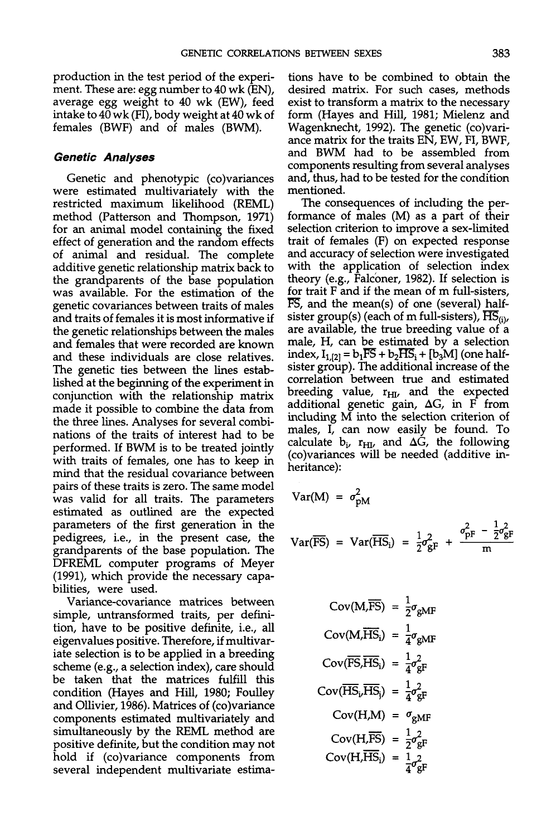production in the test period of the experiment. These are: egg number to 40 wk (EN), average egg weight to 40 wk (EW), feed intake to 40 wk (FI), body weight at 40 wk of females (BWF) and of males (BWM).

#### **Genetic Analyses**

Genetic and phenotypic (co)variances were estimated multivariately with the restricted maximum likelihood (REML) method (Patterson and Thompson, 1971) for an animal model containing the fixed effect of generation and the random effects of animal and residual. The complete additive genetic relationship matrix back to the grandparents of the base population was available. For the estimation of the genetic covariances between traits of males and traits of females it is most informative if the genetic relationships between the males and females that were recorded are known and these individuals are close relatives. The genetic ties between the lines established at the beginning of the experiment in conjunction with the relationship matrix made it possible to combine the data from the three lines. Analyses for several combinations of the traits of interest had to be performed. If BWM is to be treated jointly with traits of females, one has to keep in mind that the residual covariance between pairs of these traits is zero. The same model was valid for all traits. The parameters estimated as outlined are the expected parameters of the first generation in the pedigrees, i.e., in the present case, the grandparents of the base population. The DFREML computer programs of Meyer (1991), which provide the necessary capabilities, were used.

Variance-covariance matrices between simple, untransformed traits, per definition, have to be positive definite, i.e., all eigenvalues positive. Therefore, if multivariate selection is to be applied in a breeding scheme (e.g., a selection index), care should be taken that the matrices fulfill this condition (Hayes and Hill, 1980; Foulley and Ollivier, 1986). Matrices of (co)variance components estimated multivariately and simultaneously by the REML method are positive definite, but the condition may not hold if (co)variance components from several independent multivariate estima-

tions have to be combined to obtain the desired matrix. For such cases, methods exist to transform a matrix to the necessary form (Hayes and Hill, 1981; Mielenz and Wagenknecht, 1992). The genetic (co)variance matrix for the traits EN, EW, FI, BWF, and BWM had to be assembled from components resulting from several analyses and, thus, had to be tested for the condition mentioned.

The consequences of including the performance of males (M) as a part of their selection criterion to improve a sex-limited trait of females (F) on expected response and accuracy of selection were investigated with the application of selection index theory (e.g., Falconer, 1982). If selection is for trait F and if the mean of m full-sisters, F5, and the mean(s) of one (several) halfsister group(s) (each of m full-sisters),  $\overline{\text{HS}}_{(i)}$ , are available, the true breeding value of a male, H, can be estimated by a selection index,  $I_{1,[2]} = b_1\overline{FS} + b_2\overline{HS}_i + [b_3M]$  (one halfsister group). The additional increase of the correlation between true and estimated breeding value,  $r_{HI}$ , and the expected additional genetic gain, AG, in F from including M into the selection criterion of males, I, can now easily be found. To calculate  $b_i$ ,  $r_{HI}$ , and  $\Delta G$ , the following (co)variances will be needed (additive inheritance):

$$
Var(M) = \sigma_{\rm pM}^2
$$

Var(FS) = Var(FIS<sub>i</sub>) = 
$$
\frac{1}{2}\sigma_{gF}^2
$$
 +  $\frac{\sigma_{pF}^2 - \frac{1}{2}\sigma_{gF}^2}{m}$ 

$$
Cov(M,\overline{FS}) = \frac{1}{2}\sigma_{gMF}
$$
  
\n
$$
Cov(M,\overline{HS}_i) = \frac{1}{4}\sigma_{gMF}
$$
  
\n
$$
Cov(\overline{FS},\overline{HS}_i) = \frac{1}{4}\sigma_{gF}^2
$$
  
\n
$$
Cov(\overline{HS}_i,\overline{HS}_i) = \frac{1}{4}\sigma_{gF}^2
$$
  
\n
$$
Cov(H,M) = \sigma_{gMF}
$$
  
\n
$$
Cov(H,\overline{FS}) = \frac{1}{2}\sigma_{gF}^2
$$
  
\n
$$
Cov(H,\overline{HS}_i) = \frac{1}{4}\sigma_{gF}^2
$$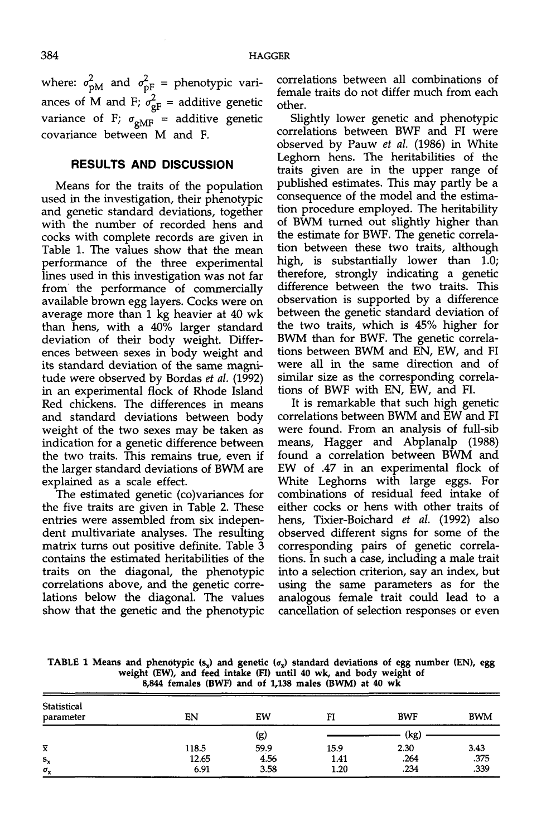where:  $\sigma_{\rm pM}^2$  and  $\sigma_{\rm pF}^2$  = phenotypic variances of M and F;  $\sigma_{gF}^2$  = additive genetic variance of F;  $\sigma_{gMF} =$  additive genetic covariance between M and F.

## **RESULTS AND DISCUSSION**

Means for the traits of the population used in the investigation, their phenotypic and genetic standard deviations, together with the number of recorded hens and cocks with complete records are given in Table 1. The values show that the mean performance of the three experimental lines used in this investigation was not far from the performance of commercially available brown egg layers. Cocks were on average more than 1 kg heavier at 40 wk than hens, with a 40% larger standard deviation of their body weight. Differences between sexes in body weight and its standard deviation of the same magnitude were observed by Bordas *et al.* (1992) in an experimental flock of Rhode Island Red chickens. The differences in means and standard deviations between body weight of the two sexes may be taken as indication for a genetic difference between the two traits. This remains true, even if the larger standard deviations of BWM are explained as a scale effect.

The estimated genetic (co)variances for the five traits are given in Table 2. These entries were assembled from six independent multivariate analyses. The resulting matrix turns out positive definite. Table 3 contains the estimated heritabilities of the traits on the diagonal, the phenotypic correlations above, and the genetic correlations below the diagonal. The values show that the genetic and the phenotypic correlations between all combinations of female traits do not differ much from each other.

Slightly lower genetic and phenotypic correlations between BWF and FI were observed by Pauw *et al.* (1986) in White Leghorn hens. The heritabilities of the traits given are in the upper range of published estimates. This may partly be a consequence of the model and the estimation procedure employed. The heritability of BWM turned out slightly higher than the estimate for BWF. The genetic correlation between these two traits, although high, is substantially lower than 1.0; therefore, strongly indicating a genetic difference between the two traits. This observation is supported by a difference between the genetic standard deviation of the two traits, which is 45% higher for BWM than for BWF. The genetic correlations between BWM and EN, EW, and FI were all in the same direction and of similar size as the corresponding correlations of BWF with EN, EW, and FI.

It is remarkable that such high genetic correlations between BWM and EW and FI were found. From an analysis of full-sib means, Hagger and Abplanalp (1988) found a correlation between BWM and EW of .47 in an experimental flock of White Leghorns with large eggs. For combinations of residual feed intake of either cocks or hens with other traits of hens, Tixier-Boichard *et al.* (1992) also observed different signs for some of the corresponding pairs of genetic correlations. In such a case, including a male trait into a selection criterion, say an index, but using the same parameters as for the analogous female trait could lead to a cancellation of selection responses or even

**TABLE 1 Means and phenotypic**  $(s_x)$  **and genetic**  $(s_x)$  **standard deviations of egg number (EN), egg weight (EW), and feed intake (FI) until 40 wk, and body weight of 8,844 females (BWF) and of 1,138 males (BWM) at 40 wk** 

| Statistical<br>parameter | EN    | EW   | FI   | <b>BWF</b> | <b>BWM</b> |
|--------------------------|-------|------|------|------------|------------|
|                          |       | (g)  | (kg) |            |            |
| X                        | 118.5 | 59.9 | 15.9 | 2.30       | 3.43       |
| $s_{x}$                  | 12.65 | 4.56 | 1.41 | .264       | .375       |
| $\sigma_{\rm x}$         | 6.91  | 3.58 | 1.20 | .234       | .339       |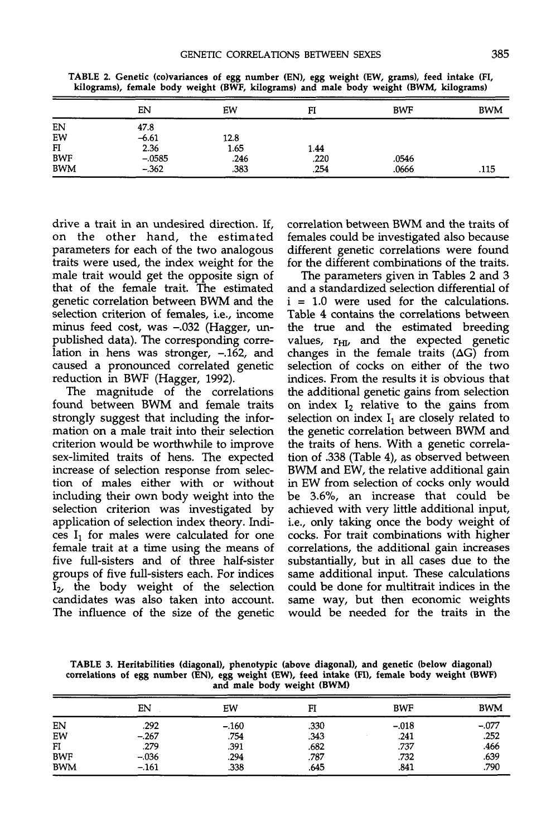|                | EN       | EW   | Fl   | <b>BWF</b> | <b>BWM</b> |
|----------------|----------|------|------|------------|------------|
| EN             | 47.8     |      |      |            |            |
| EW             | $-6.61$  | 12.8 |      |            |            |
| F <sub>I</sub> | 2.36     | 1.65 | 1.44 |            |            |
| <b>BWF</b>     | $-.0585$ | .246 | .220 | .0546      |            |
| <b>BWM</b>     | $-.362$  | .383 | .254 | .0666      | .115       |

TABLE 2. Genetic (co)variances of egg number (EN), egg weight (EW, grams), feed intake (FI, kilograms), female body weight (BWF, kilograms) and male body weight (BWM, kilograms)

drive a trait in an undesired direction. If, on the other hand, the estimated parameters for each of the two analogous traits were used, the index weight for the male trait would get the opposite sign of that of the female trait. The estimated genetic correlation between BWM and the selection criterion of females, i.e., income minus feed cost, was -.032 (Hagger, unpublished data). The corresponding correlation in hens was stronger,  $-162$ , and caused a pronounced correlated genetic reduction in BWF (Hagger, 1992).

The magnitude of the correlations found between BWM and female traits strongly suggest that including the information on a male trait into their selection criterion would be worthwhile to improve sex-limited traits of hens. The expected increase of selection response from selection of males either with or without including their own body weight into the selection criterion was investigated by application of selection index theory. Indices  $I_1$  for males were calculated for one female trait at a time using the means of five full-sisters and of three half-sister groups of five full-sisters each. For indices *I2,* the body weight of the selection candidates was also taken into account. The influence of the size of the genetic correlation between BWM and the traits of females could be investigated also because different genetic correlations were found for the different combinations of the traits.

The parameters given in Tables 2 and 3 and a standardized selection differential of i = 1.0 were used for the calculations. Table 4 contains the correlations between the true and the estimated breeding values,  $r_{HI}$ , and the expected genetic changes in the female traits  $(\Delta G)$  from selection of cocks on either of the two indices. From the results it is obvious that the additional genetic gains from selection on index  $I_2$  relative to the gains from selection on index *l<sup>t</sup>* are closely related to the genetic correlation between BWM and the traits of hens. With a genetic correlation of .338 (Table 4), as observed between BWM and EW, the relative additional gain in EW from selection of cocks only would be 3.6%, an increase that could be achieved with very little additional input, i.e., only taking once the body weight of cocks. For trait combinations with higher correlations, the additional gain increases substantially, but in all cases due to the same additional input. These calculations could be done for multitrait indices in the same way, but then economic weights would be needed for the traits in the

TABLE 3. Heritabilities (diagonal), phenotypic (above diagonal), and genetic (below diagonal) correlations of egg number (EN), egg weight (EW), feed intake (FI), female body weight (BWF) and male body weight (BWM)

|            | EN      | EW      | Fl   | <b>BWF</b> | BWM     |  |  |
|------------|---------|---------|------|------------|---------|--|--|
| EN         | .292    | $-.160$ | .330 | $-.018$    | $-.077$ |  |  |
| EW         | $-.267$ | .754    | .343 | .241       | .252    |  |  |
| FI         | .279    | .391    | .682 | .737       | .466    |  |  |
| <b>BWF</b> | $-.036$ | .294    | .787 | .732       | .639    |  |  |
| <b>BWM</b> | $-.161$ | .338    | .645 | .841       | .790    |  |  |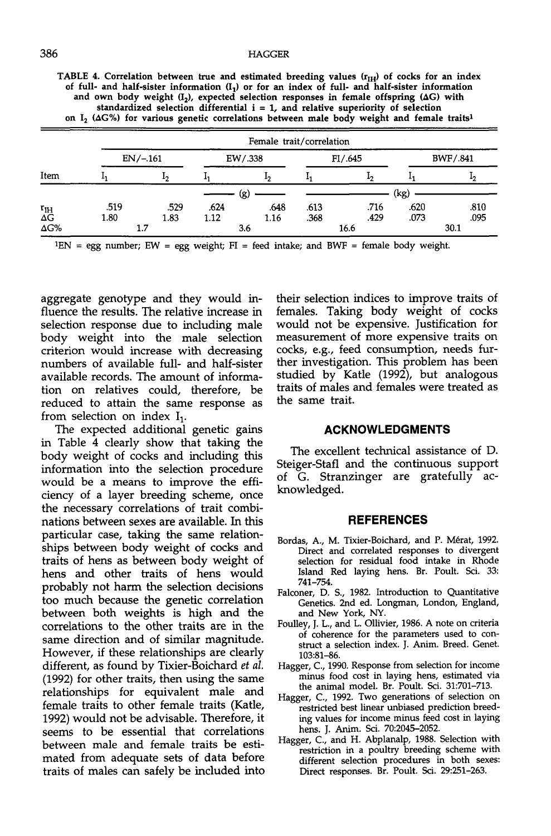## 386 HAGGER

|                                      | of full- and half-sister information (11) or for an index of full- and half-sister information<br>and own body weight $(I_2)$ , expected selection responses in female offspring $(\Delta G)$ with<br>on I <sub>2</sub> ( $\Delta$ G%) for various genetic correlations between male body weight and female traits <sup>1</sup> |                          |              | standardized selection differential $i = 1$ , and relative superiority of selection |              |                      |              |                      |  |  |
|--------------------------------------|---------------------------------------------------------------------------------------------------------------------------------------------------------------------------------------------------------------------------------------------------------------------------------------------------------------------------------|--------------------------|--------------|-------------------------------------------------------------------------------------|--------------|----------------------|--------------|----------------------|--|--|
|                                      |                                                                                                                                                                                                                                                                                                                                 | Female trait/correlation |              |                                                                                     |              |                      |              |                      |  |  |
|                                      | $EN/-161$                                                                                                                                                                                                                                                                                                                       |                          | EW/.338      |                                                                                     | FI/.645      |                      | BWF/.841     |                      |  |  |
| Item                                 |                                                                                                                                                                                                                                                                                                                                 | 12                       |              | 1 <sub>2</sub>                                                                      |              | 12                   |              |                      |  |  |
|                                      |                                                                                                                                                                                                                                                                                                                                 |                          |              | (g)                                                                                 |              |                      | (kg)         |                      |  |  |
| $\frac{r_{\rm IH}}{\Delta G}$<br>ΔG% | .519<br>1.80                                                                                                                                                                                                                                                                                                                    | .529<br>1.83<br>1.7      | .624<br>1.12 | .648<br>1.16<br>3.6                                                                 | .613<br>.368 | .716<br>.429<br>16.6 | .620<br>.073 | .810<br>.095<br>30.1 |  |  |

TABLE 4. Correlation between true and estimated breeding values ( $r_{\text{IH}}$ ) of cocks for an index of **full-** and **half-sister information (I-,) or for an index of full- and half-sister information** 

 $\text{JEN}$  = egg number; EW = egg weight; FI = feed intake; and BWF = female body weight.

aggregate genotype and they would influence the results. The relative increase in selection response due to including male body weight into the male selection criterion would increase with decreasing numbers of available full- and half-sister available records. The amount of information on relatives could, therefore, be reduced to attain the same response as from selection on index  $I_1$ .

The expected additional genetic gains in Table 4 clearly show that taking the body weight of cocks and including this information into the selection procedure would be a means to improve the efficiency of a layer breeding scheme, once the necessary correlations of trait combinations between sexes are available. In this particular case, taking the same relationships between body weight of cocks and traits of hens as between body weight of hens and other traits of hens would probably not harm the selection decisions too much because the genetic correlation between both weights is high and the correlations to the other traits are in the same direction and of similar magnitude. However, if these relationships are clearly different, as found by Tixier-Boichard *et al.*  (1992) for other traits, then using the same relationships for equivalent male and female traits to other female traits (Katie, 1992) would not be advisable. Therefore, it seems to be essential that correlations between male and female traits be estiperween mate and remate trans be estitraits of males can safely be included into their selection indices to improve traits of females. Taking body weight of cocks would not be expensive. Justification for measurement of more expensive traits on cocks, e.g., feed consumption, needs further investigation. This problem has been studied by Katie (1992), but analogous traits of males and females were treated as the same trait.

#### **ACKNOWLEDGMENTS**

The excellent technical assistance of D. Steiger-Stafl and the continuous support of G. Stranzinger are gratefully acknowledged.

#### **REFERENCES**

- Bordas, A., M. Tixier-Boichard, and P. Mérat, 1992. Direct and correlated responses to divergent selection for residual food intake in Rhode Island Red laying hens. Br. Poult. Sci. 33: 741-754.
- Falconer, D. S., 1982. Introduction to Quantitative Genetics. 2nd ed. Longman, London, England, and New York, NY.
- Foulley, J. L., and L. Ollivier, 1986. A note on criteria of coherence for the parameters used to construct a selection index. J. Anim. Breed. Genet. 103:81-86.
- Hagger, C., 1990. Response from selection for income minus food cost in laying hens, estimated via the animal model. Br. Poult. Sci. 31:701-713.
- Hagger, C., 1992. Two generations of selection on restricted best linear unbiased prediction breeding values for income minus feed cost in laying hens. J. Anim. Sci. 70:2045-2052.
- Hagger, C., and H. Abplanalp, 1988. Selection with restriction in a poultry breeding scheme with different selection procedures in both sexes: Direct responses. Br. Poult. Sci. 29:251-263.